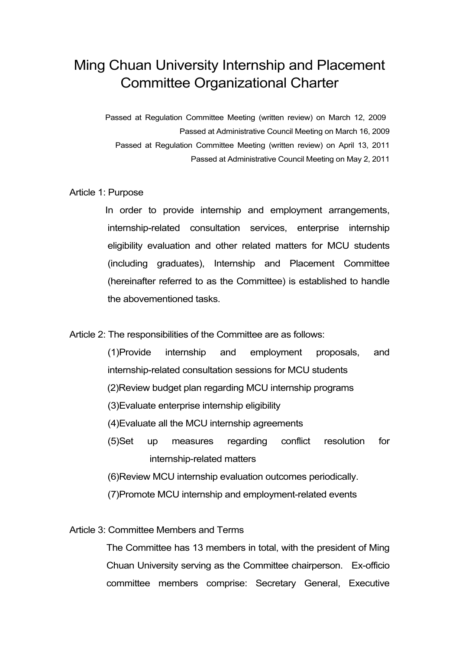# Ming Chuan University Internship and Placement Committee Organizational Charter

Passed at Regulation Committee Meeting (written review) on March 12, 2009 Passed at Administrative Council Meeting on March 16, 2009 Passed at Regulation Committee Meeting (written review) on April 13, 2011 Passed at Administrative Council Meeting on May 2, 2011

## Article 1: Purpose

 In order to provide internship and employment arrangements, internship-related consultation services, enterprise internship eligibility evaluation and other related matters for MCU students (including graduates), Internship and Placement Committee (hereinafter referred to as the Committee) is established to handle the abovementioned tasks.

## Article 2: The responsibilities of the Committee are as follows:

(1)Provide internship and employment proposals, and internship-related consultation sessions for MCU students

- (2)Review budget plan regarding MCU internship programs
- (3)Evaluate enterprise internship eligibility
- (4)Evaluate all the MCU internship agreements
- (5)Set up measures regarding conflict resolution for internship-related matters
- (6)Review MCU internship evaluation outcomes periodically.
- (7)Promote MCU internship and employment-related events

## Article 3: Committee Members and Terms

The Committee has 13 members in total, with the president of Ming Chuan University serving as the Committee chairperson. Ex-officio committee members comprise: Secretary General, Executive